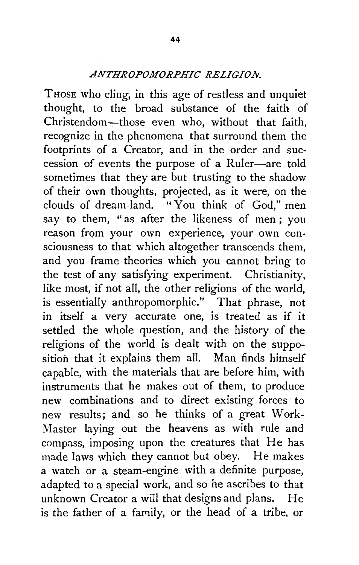## *ANTHROPOMORPHIC RELIGIO.lv.*

Those who cling, in this age of restless and unquiet thought, to the broad substance of the faith of Christendom-those even who, without that faith, recognize in the phenomena that surround them the footprints of a Creator, and in the order and succession of events the purpose of a Ruler-are told sometimes that they are but trusting to the shadow of their own thoughts, projected, as it were, on the clouds of dream-land. "You think of God," men say to them, "as after the likeness of men ; you reason from your own experience, your own consciousness to that which altogether transcends them, and you frame theories which you cannot bring to the test of any satisfying experiment. Christianity, like most, if not all, the other religions of the world, is essentially anthropomorphic." That phrase, not in itself a very accurate one, is treated as if it settled the whole question, and the history of the religions of the world is dealt with on the supposition that it explains them all. Man finds himself capable, with the materials that are before him, with instruments that he makes out of them, to produce new combinations and to direct existing forces to new results; and so he thinks of a great Work-Master laying out the heavens as with rule and compass, imposing upon the creatures that He has made laws which they cannot but obey. He makes a watch or a steam-engine with a definite purpose, adapted to a special work, and so he ascribes to that unknown Creator a will that designs and plans. He is the father of a family, or the head of a tribe, or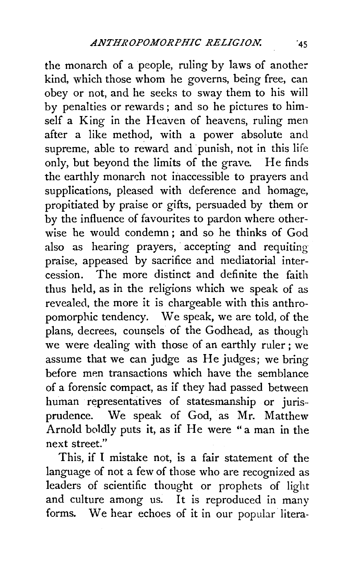the monarch of a people, ruling by laws of another kind, which those whom he governs, being free, can obey or not, and he seeks to sway them to his will by penalties or rewards; and so he pictures to himself a King in the Heaven of heavens, ruling men after a like method, with a power absolute and supreme, able to reward and punish, not in this life only, but beyond the limits of the grave. He finds the earthly monarch not inaccessible to prayers and supplications, pleased with deference and homage, propitiated by praise or gifts, persuaded by them or by the influence of favourites to pardon where otherwise he would condemn : and so he thinks of God also as hearing prayers, accepting and requiting praise, appeased by sacrifice and mediatorial intercession. The more distinct and definite the faith thus held, as in the religions which we speak of as revealed, the more it is chargeable with this anthropomorphic tendency. We speak, we are told, of the plans, decrees, counsels of the Godhead, as though we were dealing with those of an earthly ruler; we assume that we can judge as He judges; we bring before men transactions which have the semblance of a forensic compact, as if they had passed between human representatives of statesmanship or juris· prudence. We speak of God, as Mr. Matthew Arnold boldly puts it, as if He were "a man in the next street."

This, if I mistake not, is a fair statement of the language of not a few of those who are recognized as leaders of scientific thought or prophets of light and culture among us. It is reproduced in many forms. We hear echoes of it in our popular litera-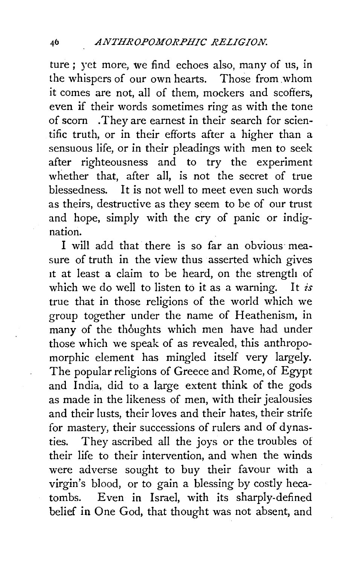ture ; yet more, we find echoes also, many of us, in the whispers of our own hearts. Those from .whom it comes are not, all of them, mockers and scoffers, even if their words sometimes ring as with the tone of scorn . They are earnest in their search for scientific truth, or in their efforts after a higher than a sensuous life, or in their pleadings with men to seek after righteousness and to try the experiment whether that, after all, is not the secret of true blessedness. It is not well to meet even such words as theirs, destructive as they seem to be of our trust and hope, simply with the cry of panic or indignation.

I will add that there is so far an obvious· measure of truth in the view thus asserted which gives it at least a claim to be heard, on the strength of which we do well to listen to it as a warning. It *is*  true that in those religions of the world which we group together under the name of Heathenism, in many of the thoughts which men have had under those which we speak of as revealed, this anthropomorphic element has mingled itself very largely. The popular religions of Greece and Rome, of Egypt and India, did to a large extent think of the gods as made in the likeness of men, with their jealousies and their lusts, their loves and their hates, their strife for mastery, their successions of rulers and of dynasties. They ascribed all the joys or the troubles of their life to their intervention, and when the winds were adverse sought to buy their favour with a virgin's blood, or to gain a blessing by costly hecatombs. Even in Israel, with its sharply-defined belief in One God, that thought was not absent, and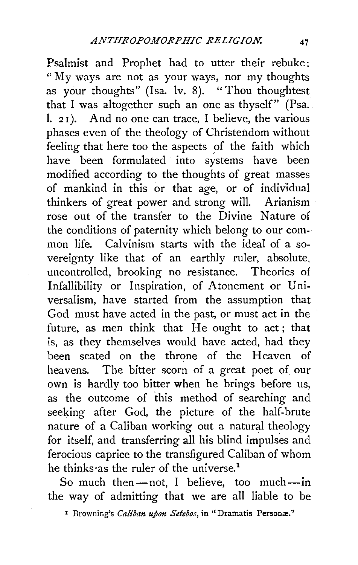Psalmist and Prophet had to utter their rebuke: " My ways are not as your ways, nor my thoughts as your thoughts" (Isa. Iv. 8). "Thou thoughtest that I was altogether such an one as thyself" (Psa.  $1.21$ . And no one can trace, I believe, the various phases even of the theology of Christendom without feeling that here too the aspects of the faith which have been formulated into systems have been modified according to the thoughts of great masses of mankind in this or that age, or of individual thinkers of great power and strong will. Arianism rose out of the transfer to the Divine Nature of the conditions of paternity which belong to our common life. Calvinism starts with the ideal of a sovereignty like that of an earthly ruler, absolute, uncontrolled, brooking no resistance. Theories of Infallibility or Inspiration, of Atonement or Universalism, have started from the assumption that God must have acted in the past, or must act in the future, as men think that He ought to act; that is, as they themselves would have acted, had they been seated on the throne of the Heaven of heavens. The bitter scorn of a great poet of our own is hardly too bitter when he brings before us, as the outcome of this method of searching and seeking after God, the picture of the half-brute nature of a Caliban working out a natural theology for itself, and transferring all his blind impulses and ferocious caprice to the transfigured Caliban of whom he thinks as the ruler of the universe.<sup>1</sup>

So much then-not, I believe, too much-in the way of admitting that we are all liable to be

<sup>&</sup>lt;sup>1</sup> Browning's *Caliban upon Setebos*, in "Dramatis Personæ."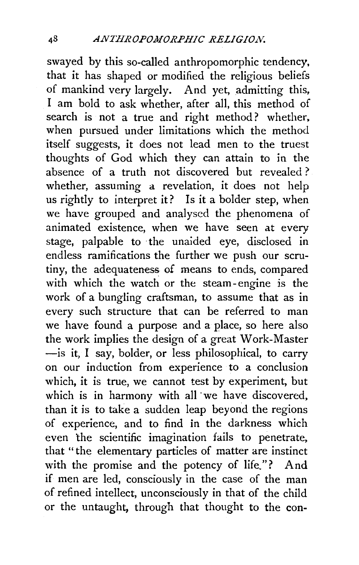swayed by this so-called anthropomorphic tendency, that it has shaped or modified the religious beliefs of mankind very largely. And yet, admitting this, I am bold to ask whether, after all, this method of search is not a true and right method? whether, when pursued under limitations which the method itself suggests, it does not lead men to the truest thoughts of God which they can attain to in the absence of a truth not discovered but revealed? whether, assuming a revelation, it does not help us rightly to interpret it? Is it a bolder step, when we have grouped and analysed the phenomena of animated existence, when we have seen at every stage, palpable to the unaided eye, disclosed in endless ramifications the further we push our scrutiny, the adequateness of means to ends, compared with which the watch or the steam-engine is the work of a bungling craftsman, to assume that as in every such structure that can be referred to man we have found a purpose and a place, so here also the work implies the design of a great Work-Master -is it, I say, bolder, or less philosophical, to carry on our induction from experience to a conclusion which, it is true, we cannot test by experiment, but which is in harmony with all we have discovered, than it is to take a sudden leap beyond the regions of experience, and to find in the darkness which even the scientific imagination fails to penetrate, that " the elementary particles of matter are instinct with the promise and the potency of life."? And if men are led, consciously in the case of the man of refined intellect, unconsciously in that of the child or the untaught, through that thought to the con-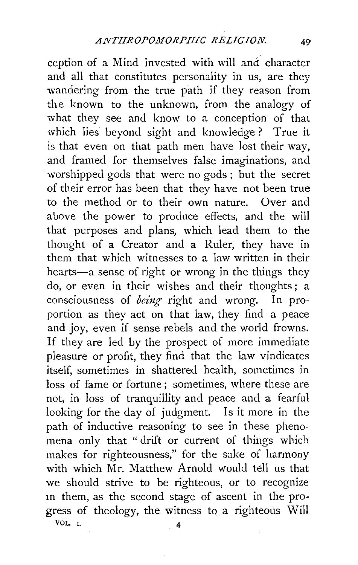ception of a Mind invested with will and character and all that constitutes personality in us, are they wandering from the true path if they reason from the known to the unknown, from the analogy of what they see and know to a conception of that which lies beyond sight and knowledge? True it is that even on that path men have lost their way, and framed for themselves false imaginations, and worshipped gods that were no gods ; but the secret of their error has been that they have not been true to the method or to their own nature. Over and above the power to produce effects, and the will that purposes and plans, which lead them to the thought of a Creator and a Ruler, they have in them that which witnesses to a law written in their hearts-a sense of right or wrong in the things they do, or even in their wishes and their thoughts; a consciousness of *being* right and wrong. In proportion as they act on that law, they find a peace and joy, even if sense rebels and the world frowns. If they are led by the prospect of more immediate pleasure or profit, they find that the law vindicates itself, sometimes in shattered health, sometimes in loss of fame or fortune; sometimes, where these are not, in loss of tranquillity and peace and a fearful looking for the day of judgment. Is it more in the path of inductive reasoning to see in these phenomena only that " drift or current of things which makes for righteousness," for the sake of harmony with which Mr. Matthew Arnold would tell us that we should strive to be righteous, or to recognize m them, as the second stage of ascent in the progress of theology, the witness to a righteous Will VOL. I.  $4$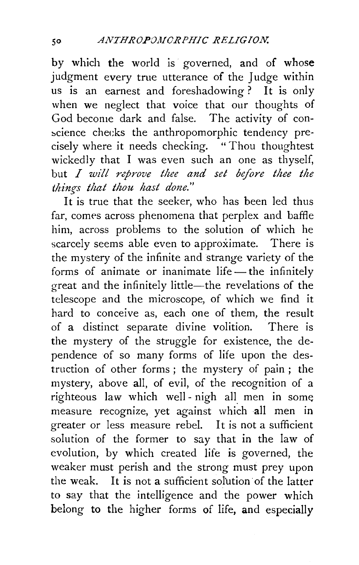by which the world is governed, and of whose judgment every true utterance of the Judge within us is an earnest and foreshadowing? It is only when we neglect that voice that our thoughts of God become dark and false. The activity of con science checks the anthropomorphic tendency precisely where it needs checking. "Thou thoughtest wickedly that I was even such an one as thyself, but *I will nprove thee and set before thee the things that thou hast done."* 

It is true that the seeker, who has been led thus far, comes across phenomena that perplex and baffle him, across problems to the solution of which he scarcely seems able even to approximate. There is the mystery of the infinite and strange variety of the forms of animate or inanimate life  $-$  the infinitely great and the infinitely little-the revelations of the telescope and the microscope, of which we find it hard to conceive as, each one of them, the result of a distinct separate divine volition. There is the mystery of the struggle for existence, the dependence of so many forms of life upon the destruction of other forms ; the mystery of pain ; the mystery, above all, of evil, of the recognition of a righteous law which well- nigh all men in some measure recognize, yet against which all men in greater or less measure rebel. It is not a sufficient solution of the former to say that in the law of evolution, by which created life is governed, the weaker must perish and the strong must prey upon the weak. It is not a sufficient sol'ution of the latter to say that the intelligence and the power which belong to the higher forms of life, and especially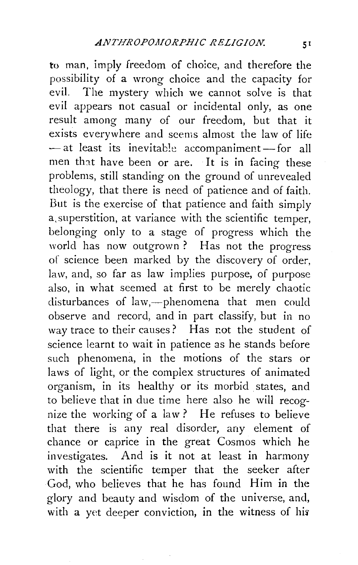to man, imply freedom of choice, and therefore the possibility of a wrong choice and the capacity for evil. The mystery which we cannot solve is that evil appears not casual or incidental only, as one result among many of our freedom, but that it exists everywhere and seems almost the law of life - at least its inevitable accompaniment-for all men that have been or are. It is in facing these problems, still standing on the ground of unrevealed theology, that there is need of patience and of faith. But is the exercise of that patience and faith simply a, superstition, at variance with the scientific temper, belonging only to a stage of progress which the world has now outgrown ? Has not the progress of science been marked by the discovery of order, law, and, so far as law implies purpose, of purpose also, in what seemed at first to be merely chaotic disturbances of law,--phenomena that men could observe and record, and in part classify, but in no way trace to their causes? Has not the student of science learnt to wait in patience as he stands before such phenomena, in the motions of the stars or laws of light, or the complex structures of animated organism, in its healthy or its morbid states, and to believe that in due time here also he will recognize the working of a law? He refuses to believe that there is any real disorder, any element of chance or caprice in the great Cosmos which he investigates. And is it not at least in harmony with the scientific temper that the seeker after God, who believes that he has found Him in the glory and beauty and wisdom of the universe, and, with a yet deeper conviction, in the witness of his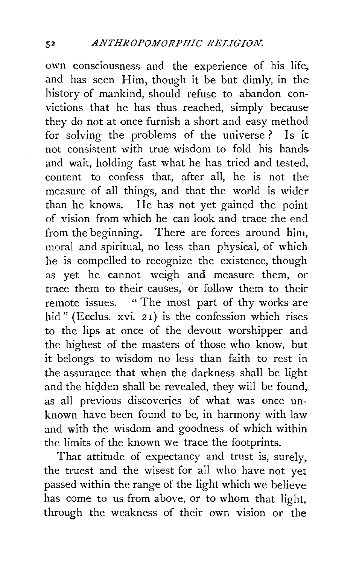own consciousness and the experience of his life, and has seen Him, though it be but dimly, in the history of mankind, should refuse to abandon convictions that he has thus reached, simply because they do not at once furnish a short and easy method for solving the problems of the universe ? Is it not consistent with true wisdom to fold his hands and wait, holding fast what he has tried and tested, content to confess that, after all, he is not the measure of all things, and that the world is wider than he knows. He has not yet gained the point of vision from which he can look and trace the end from the beginning. There are forces around him, moral and spiritual, no less than physical, of which he is compelled to recognize the existence, though as yet he cannot weigh and measure them, or trace them to their causes, or follow them to their remote issues. " The most part of thy works are hid" (Ecclus. xvi. 21) is the confession which rises to the lips at once of the devout worshipper and the highest of the masters of those who know, but it belongs to wisdom no less than faith to rest in the assurance that when the darkness shall be light and the hidden shall be revealed, they will be found, as all previous discoveries of what was once unknown have been found to be, in harmony with law and with the wisdom and goodness of which within the limits of the known we trace the footprints.

That attitude of expectancy and trust is, surely, the truest and the wisest for all who have not yet passed within the range of the light which we believe has come to us from above, or to whom that light, through the weakness of their own vision or the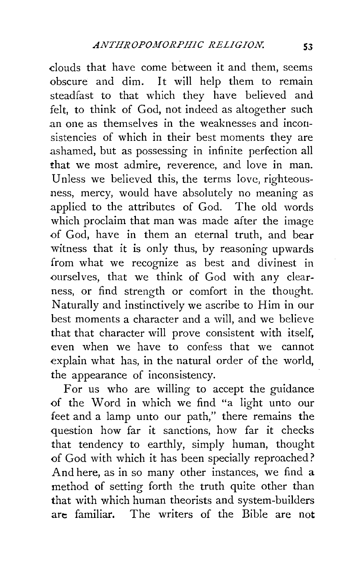clouds that have come between it and them, seems obscure and dim. It will help them to remain steadfast to that which they have believed and felt, to think of God, not indeed as altogether such .an one as themselves in the weaknesses and inconsistencies of which in their best moments they are .ashamed, but as possessing in infinite perfection all that we most admire, reverence, and love in man. Unless we believed this, the terms love, righteousness, mercy, would have absolutely no meaning as .applied to the attributes of God. The old words which proclaim that man was made after the image of God, have in them an eternal truth, and bear witness that it is only thus, by reasoning upwards from what we recognize as best and divinest in ourselves, that we think of God with any clearness, or find strength or comfort in the thought. Naturally and instinctively we ascribe to Him in our best moments a character and a will, and we believe that that character will prove consistent with itself, even when we have to confess that we cannot explain what has, in the natural order of the world, the appearance of inconsistency.

For us who are willing to accept the guidance of the Word in which we find "a light unto our feet and a lamp unto our path," there remains the question how far it sanctions, how far it checks that tendency to earthly, simply human, thought of God with which it has been specially reproached? And here, as in so many other instances, we find a method of setting forth the truth quite other than that with which human theorists and system-builders are familiar. The writers of the Bible are not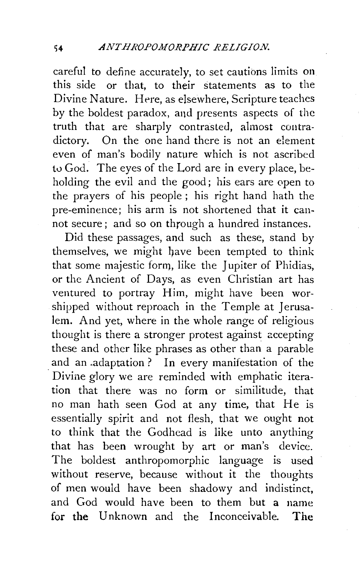careful to define accurately, to set cautions limits on this side or that, to their statements as to the Divine Nature. Here, as elsewhere, Scripture teaches by the boldest paradox, aqd presents aspects of the truth that are sharply contrasted, almost contradictory. On the one hand there is not an element even of man's bodily nature which is not ascribed tu God. The eyes of the Lord are in every place, beholding the evil and the good; his ears are open to the prayers of his people ; his right hand hath the pre-eminence; his arm is not shortened that it cannot secure ; and so on through a hundred instances.

Did these passages, and such as these, stand by themselves, we might have been tempted to think that some majestic form, like the Jupiter of Phidias, or the Ancient of Days, as even Christian art has ventured to portray Him, might have been worshipped without reproach in the Temple at Jerusalem. And yet, where in the whole range of religious thought is there a stronger protest against accepting these and other like phrases as other than a parable and an .adaptation ? In every manifestation of the . Divine glory we are reminded with emphatic iteration that there was no form or similitude, that no man hath seen God at any time, that He is essentially spirit and not flesh, that we ought not to think that the Godhead is like unto anything that has been wrought by art or man's device. The boldest anthropomorphic language is used without reserve, because without it the thoughts of men would have been shadowy and indistinct, and God would have been to them but a name **for the** Unknown and the Inconceivable. **The**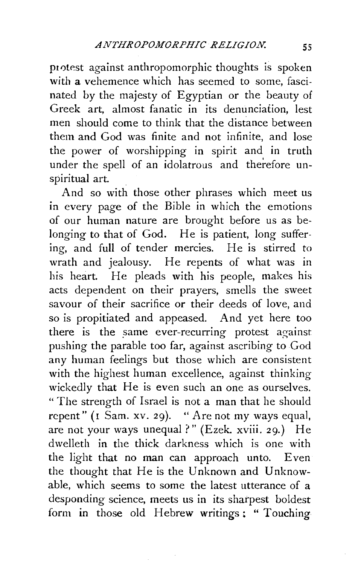protest against anthropomorphic thoughts is spoken with a vehemence which has seemed to some, fascinated by the majesty of Egyptian or the beauty of Greek art, almost fanatic in its denunciation, lest men should come to think that the distance between them and God was finite and not infinite, and lose the power of worshipping in spirit and in truth under the spell of an idolatrous and therefore unspiritual art.

And so with those other phrases which meet us in every page of the Bible in which the emotions of our human nature are brought before us as belonging to that of God. He is patient, long suffering, and full of tender mercies. He is stirred to wrath and jealousy. He repents of what was in his heart. He pleads with his people, makes his acts dependent on their prayers, smells the sweet savour of their sacrifice or their deeds of love, and so is propitiated and appeased. And yet here too there is the same ever-recurring protest against pushing the parable too far, against ascribing to God any human feelings but those which are consistent with the highest human excellence, against thinking wickedly that He is even such an one as ourselves. "The strength of Israel is not a man that he should repent" (1 Sam. xv. 29). "Are not my ways equal, are not your ways unequal?" (Ezek. xviii. 29.) He dwelleth in the thick darkness which is one with the light that no man can approach unto. Even the thought that He is the Unknown and Unknowable, which seems to some the latest utterance of a desponding science, meets us in its sharpest boldest form in those old Hebrew writings; " Touching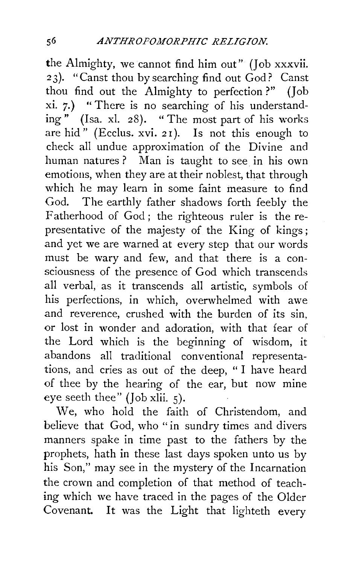the Almighty, we cannot find him out" (Job xxxvii. 23). "Canst thou by searching find out God? Canst thou find out the Almighty to perfection ?" (Joh xi. 7.) "There is no searching of his understanding" (Isa. xl. 28). "The most part of his works are hid" (Ecclus. xvi. 2 I). Is not this enough to check all undue approximation of the Divine and human natures ? Man is taught to see in his own emotions, when they are at their noblest, that through which he may learn in some faint measure to find God. The earthly father shadows forth feebly the Fatherhood of God; the righteous ruler is the representative of the majesty of the King of kings; and yet we are warned at every step that our words must be wary and few, and that there is a consciousness of the presence of God which transcends all verbal, as it transcends all artistic, symbols of his perfections, in which, overwhelmed with awe and reverence, crushed with the burden of its sin, or lost in wonder and adoration, with that fear of the Lord which is the beginning of wisdom, it abandons all traditional conventional representations, and cries as out of the deep, " I have heard of thee by the hearing of the ear, but now mine eye seeth thee" (Job xlii. 5).

We, who hold the faith of Christendom, and believe that God, who "in sundry times and divers manners spake in time past to the fathers by the prophets, hath in these last days spoken unto us by his Son," may see in the mystery of the Incarnation the crown and completion of that method of teaching which we have traced in the pages of the Older Covenant. It was the Light that lighteth every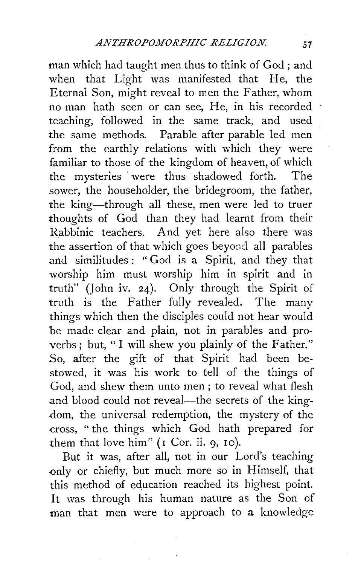man which had taught men thus to think of God ; and when that Light was manifested that He, the Eternal Son, might reveal to men the Father, whom no man hath seen or can see, He, in his recorded teaching, followed in the same track, and used the same methods. Parable after parable led men from the earthly relations with which they were familiar to those of the kingdom of heaven, of which the mysteries · were thus shadowed forth. The sower, the householder, the bridegroom, the father, the king-through all these, men were led to truer thoughts of God than they had learnt from their Rabbinic teachers. And yet here also there was the assertion of that which goes beyond all parables and similitudes: "God is a Spirit, and they that worship him must worship him in spirit and in truth" (John iv. 24). Only through the Spirit of truth is the Father fully revealed. The many things which then the disciples could not hear would be made clear and plain, not in parables and proverbs; but, "I will shew you plainly of the Father." So, after the gift of that Spirit had been bestowed, it was his work to tell of the things of God, and shew them unto men ; to reveal what flesh and blood could not reveal-the secrets of the kingdom, the universal redemption, the mystery of the cross, "the things which God hath prepared for them that love him" ( $r$  Cor. ii. 9,  $r$ o).

But it was, after all, not in our Lord's teaching only or chiefly, but much more so in Himself, that this method of education reached its highest point. It was through his human nature as the Son of man that men were to approach to a knowledge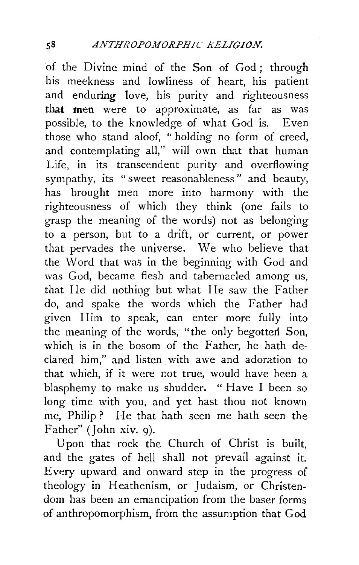of the Divine mind of the Son of God; through his meekness and lowliness of heart, his patient and enduring love, his purity and righteousness that men were to approximate, as far as was possible, to the knowledge of what God is. Even those who stand aloof, " holding no form of creed, and contemplating all," will own that that human Life, in its transcendent purity and overflowing sympathy, its "sweet reasonableness" and beauty, has brought men more into harmony with the righteousness of which they think (one fails to grasp the meaning of the words) not as belonging to a person, but to a drift, or current, or power that pervades the universe. We who believe that the Word that was in the beginning with God and was God, became flesh and tabernacled among us, that He did nothing but what He saw the Father do, and spake the words which the Father had given Him to speak, can enter more fully into the meaning of the words, "the only begotten Son, which is in the bosom of the Father, he hath declared him," and listen with awe and adoration to that which, if it were not true, would have been a blasphemy to make us shudder. " Have I been so long time with you, and yet hast thou not known me, Philip? He that hath seen me hath seen the Father" (John xiv. 9).

Upon that rock the Church of Christ is built, and the gates of hell shall not prevail against it. Every upward and onward step in the progress of theology in Heathenism, or Judaism, or Christendom has been an emancipation from the baser forms of anthropomorphism, from the assumption that God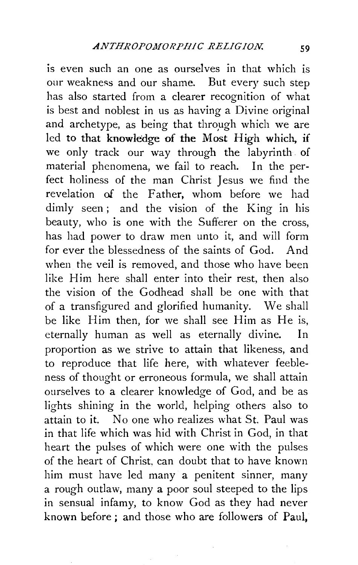is even such an one as ourselves in that which is our weakness and our shame. But every such step has also started from a clearer recognition of what is best and noblest in us as having a Divine original and archetype, as being that through which we are led to that knowledge of the Most High which, if we only track our way through the labyrinth. of material phenomena, we fail to reach. In the perfect holiness of the man Christ Jesus we find the revelation of the Father, whom before we had dimly seen; and the vision of the King in his beauty, who is one with the Sufferer on the cross, has had power to draw men unto it, and will form for ever the blessedness of the saints of God. And when the veil is removed, and those who have been like Him here shall enter into their rest, then also the vision of the Godhead shall be one with that of a transfigured and glorified humanity. We shall be like Him then, for we shall see Him as He is, eternally human as well as eternally divine. In proportion as we strive to attain that likeness, and to reproduce that life here, with whatever feebleness of thought or erroneous formula, we shall attain ourselves to a clearer knowledge of God, and be as lights shining in the world, helping others also to attain to it. No one who realizes what St. Paul was in that life which was hid with Christ in God, in that heart the pulses of which were one with the pulses of the heart of Christ. can doubt that to have known him must have led many a penitent sinner, many a rough outlaw, many a poor soul steeped to the lips in sensual infamy, to know God as they had never known before; and those who are followers of Paul,